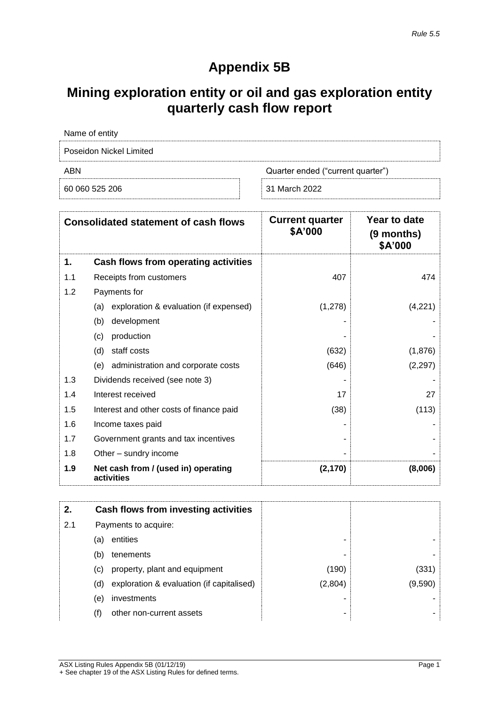# **Appendix 5B**

## **Mining exploration entity or oil and gas exploration entity quarterly cash flow report**

| Name of entity          |                                   |
|-------------------------|-----------------------------------|
| Poseidon Nickel Limited |                                   |
| ABN                     | Quarter ended ("current quarter") |
| 60 060 525 206          | 31 March 2022                     |

|     | <b>Consolidated statement of cash flows</b>       | <b>Current quarter</b><br>\$A'000 | Year to date<br>(9 months)<br>\$A'000 |
|-----|---------------------------------------------------|-----------------------------------|---------------------------------------|
| 1.  | Cash flows from operating activities              |                                   |                                       |
| 1.1 | Receipts from customers                           | 407                               | 474                                   |
| 1.2 | Payments for                                      |                                   |                                       |
|     | exploration & evaluation (if expensed)<br>(a)     | (1,278)                           | (4,221)                               |
|     | development<br>(b)                                |                                   |                                       |
|     | production<br>(c)                                 |                                   |                                       |
|     | staff costs<br>(d)                                | (632)                             | (1,876)                               |
|     | administration and corporate costs<br>(e)         | (646)                             | (2, 297)                              |
| 1.3 | Dividends received (see note 3)                   |                                   |                                       |
| 1.4 | Interest received                                 | 17                                | 27                                    |
| 1.5 | Interest and other costs of finance paid          | (38)                              | (113)                                 |
| 1.6 | Income taxes paid                                 |                                   |                                       |
| 1.7 | Government grants and tax incentives              |                                   |                                       |
| 1.8 | Other - sundry income                             |                                   |                                       |
| 1.9 | Net cash from / (used in) operating<br>activities | (2, 170)                          | (8,006)                               |

| 2.  |     | Cash flows from investing activities      |         |         |
|-----|-----|-------------------------------------------|---------|---------|
| 2.1 |     | Payments to acquire:                      |         |         |
|     | (a) | entities                                  | -       |         |
|     | (b) | tenements                                 | -       |         |
|     | (C) | property, plant and equipment             | (190)   | (331)   |
|     | (d) | exploration & evaluation (if capitalised) | (2,804) | (9,590) |
|     | (e) | investments                               |         |         |
|     | (f) | other non-current assets                  | ۰       |         |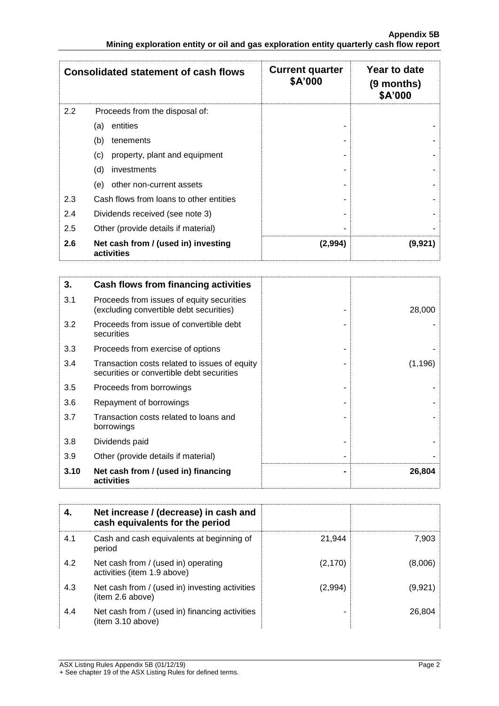|     | <b>Consolidated statement of cash flows</b>       | <b>Current quarter</b><br>\$A'000 | Year to date<br>(9 months)<br>\$A'000 |
|-----|---------------------------------------------------|-----------------------------------|---------------------------------------|
| 2.2 | Proceeds from the disposal of:                    |                                   |                                       |
|     | entities<br>(a)                                   |                                   |                                       |
|     | (b)<br>tenements                                  |                                   |                                       |
|     | property, plant and equipment<br>(c)              |                                   |                                       |
|     | (d)<br>investments                                |                                   |                                       |
|     | other non-current assets<br>(e)                   |                                   |                                       |
| 2.3 | Cash flows from loans to other entities           |                                   |                                       |
| 2.4 | Dividends received (see note 3)                   |                                   |                                       |
| 2.5 | Other (provide details if material)               |                                   |                                       |
| 2.6 | Net cash from / (used in) investing<br>activities | (2,994)                           | (9,921)                               |

| 3.   | Cash flows from financing activities                                                       |          |
|------|--------------------------------------------------------------------------------------------|----------|
| 3.1  | Proceeds from issues of equity securities<br>(excluding convertible debt securities)       | 28,000   |
| 3.2  | Proceeds from issue of convertible debt<br>securities                                      |          |
| 3.3  | Proceeds from exercise of options                                                          |          |
| 3.4  | Transaction costs related to issues of equity<br>securities or convertible debt securities | (1, 196) |
| 3.5  | Proceeds from borrowings                                                                   |          |
| 3.6  | Repayment of borrowings                                                                    |          |
| 3.7  | Transaction costs related to loans and<br>borrowings                                       |          |
| 3.8  | Dividends paid                                                                             |          |
| 3.9  | Other (provide details if material)                                                        |          |
| 3.10 | Net cash from / (used in) financing<br>activities                                          | 26,804   |

| 4.  | Net increase / (decrease) in cash and<br>cash equivalents for the period |          |         |
|-----|--------------------------------------------------------------------------|----------|---------|
| 4.1 | Cash and cash equivalents at beginning of<br>period                      | 21.944   | 7,903   |
| 4.2 | Net cash from / (used in) operating<br>activities (item 1.9 above)       | (2, 170) | (8,006) |
| 4.3 | Net cash from / (used in) investing activities<br>(item 2.6 above)       | (2,994)  | (9,921) |
| 4.4 | Net cash from / (used in) financing activities<br>(item 3.10 above)      |          | 26,804  |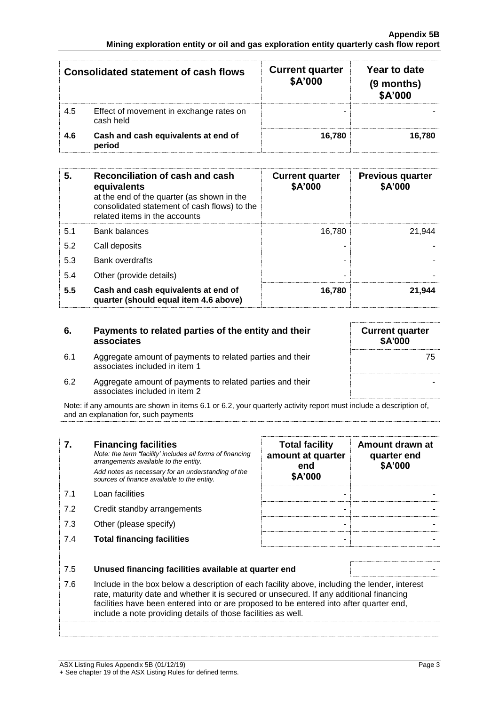|     | <b>Consolidated statement of cash flows</b>          | <b>Current quarter</b><br>\$A'000 | Year to date<br>(9 months)<br>\$A'000 |
|-----|------------------------------------------------------|-----------------------------------|---------------------------------------|
| 4.5 | Effect of movement in exchange rates on<br>cash held |                                   |                                       |
| 4.6 | Cash and cash equivalents at end of<br>period        | 16.780                            | 16.780                                |

| 5.  | Reconciliation of cash and cash<br>equivalents<br>at the end of the quarter (as shown in the<br>consolidated statement of cash flows) to the<br>related items in the accounts | <b>Current quarter</b><br>\$A'000 | <b>Previous quarter</b><br>\$A'000 |
|-----|-------------------------------------------------------------------------------------------------------------------------------------------------------------------------------|-----------------------------------|------------------------------------|
| 5.1 | <b>Bank balances</b>                                                                                                                                                          | 16.780                            | 21.944                             |
| 5.2 | Call deposits                                                                                                                                                                 |                                   |                                    |
| 5.3 | <b>Bank overdrafts</b>                                                                                                                                                        |                                   |                                    |
| 5.4 | Other (provide details)                                                                                                                                                       | -                                 |                                    |
| 5.5 | Cash and cash equivalents at end of<br>quarter (should equal item 4.6 above)                                                                                                  | 16,780                            | 21.944                             |

| 6.  | Payments to related parties of the entity and their<br>associates                          | <b>Current quarter</b><br><b>\$A'000</b> |
|-----|--------------------------------------------------------------------------------------------|------------------------------------------|
| 6.1 | Aggregate amount of payments to related parties and their<br>associates included in item 1 | 75                                       |
| 6.2 | Aggregate amount of payments to related parties and their<br>associates included in item 2 |                                          |

Note: if any amounts are shown in items 6.1 or 6.2, your quarterly activity report must include a description of, and an explanation for, such payments

| 7.  | <b>Financing facilities</b><br>Note: the term "facility' includes all forms of financing<br>arrangements available to the entity.<br>Add notes as necessary for an understanding of the<br>sources of finance available to the entity.                                                                                                               | <b>Total facility</b><br>amount at quarter<br>end<br>\$A'000 | Amount drawn at<br>quarter end<br>\$A'000 |
|-----|------------------------------------------------------------------------------------------------------------------------------------------------------------------------------------------------------------------------------------------------------------------------------------------------------------------------------------------------------|--------------------------------------------------------------|-------------------------------------------|
| 7.1 | Loan facilities                                                                                                                                                                                                                                                                                                                                      |                                                              |                                           |
| 7.2 | Credit standby arrangements                                                                                                                                                                                                                                                                                                                          |                                                              |                                           |
| 7.3 | Other (please specify)                                                                                                                                                                                                                                                                                                                               |                                                              |                                           |
| 7.4 | <b>Total financing facilities</b>                                                                                                                                                                                                                                                                                                                    |                                                              |                                           |
|     |                                                                                                                                                                                                                                                                                                                                                      |                                                              |                                           |
| 7.5 | Unused financing facilities available at quarter end                                                                                                                                                                                                                                                                                                 |                                                              |                                           |
| 7.6 | Include in the box below a description of each facility above, including the lender, interest<br>rate, maturity date and whether it is secured or unsecured. If any additional financing<br>facilities have been entered into or are proposed to be entered into after quarter end,<br>include a note providing details of those facilities as well. |                                                              |                                           |
|     |                                                                                                                                                                                                                                                                                                                                                      |                                                              |                                           |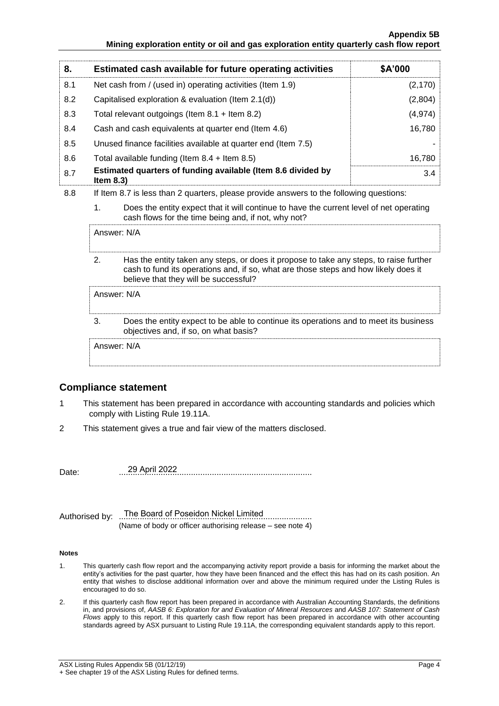#### **Appendix 5B Mining exploration entity or oil and gas exploration entity quarterly cash flow report**

| 8.  | Estimated cash available for future operating activities                                | \$A'000  |
|-----|-----------------------------------------------------------------------------------------|----------|
| 8.1 | Net cash from / (used in) operating activities (Item 1.9)                               | (2, 170) |
| 8.2 | Capitalised exploration & evaluation (Item 2.1(d))                                      | (2,804)  |
| 8.3 | Total relevant outgoings (Item $8.1 +$ Item $8.2$ )                                     | (4, 974) |
| 8.4 | Cash and cash equivalents at quarter end (Item 4.6)                                     | 16.780   |
| 8.5 | Unused finance facilities available at quarter end (Item 7.5)                           |          |
| 8.6 | Total available funding (Item $8.4$ + Item $8.5$ )                                      | 16,780   |
| 8.7 | Estimated quarters of funding available (Item 8.6 divided by<br>Item $8.3$ )            | 3.4      |
| R R | If Itam 8.7 is lass than 2 quarters, please provide apswers to the following questions: |          |

- 8.8 If Item 8.7 is less than 2 quarters, please provide answers to the following questions:
	- 1. Does the entity expect that it will continue to have the current level of net operating cash flows for the time being and, if not, why not?

Answer: N/A

2. Has the entity taken any steps, or does it propose to take any steps, to raise further cash to fund its operations and, if so, what are those steps and how likely does it believe that they will be successful?

#### Answer: N/A

3. Does the entity expect to be able to continue its operations and to meet its business objectives and, if so, on what basis?

Answer: N/A

### **Compliance statement**

- 1 This statement has been prepared in accordance with accounting standards and policies which comply with Listing Rule 19.11A.
- 2 This statement gives a true and fair view of the matters disclosed.

Date: ................................................................................... 29 April 2022

Authorised by: ...The Board of Poseidon Nickel Limited.......................... (Name of body or officer authorising release – see note 4)

#### **Notes**

- 1. This quarterly cash flow report and the accompanying activity report provide a basis for informing the market about the entity's activities for the past quarter, how they have been financed and the effect this has had on its cash position. An entity that wishes to disclose additional information over and above the minimum required under the Listing Rules is encouraged to do so.
- 2. If this quarterly cash flow report has been prepared in accordance with Australian Accounting Standards, the definitions in, and provisions of, *AASB 6: Exploration for and Evaluation of Mineral Resources* and *AASB 107: Statement of Cash Flows* apply to this report. If this quarterly cash flow report has been prepared in accordance with other accounting standards agreed by ASX pursuant to Listing Rule 19.11A, the corresponding equivalent standards apply to this report.